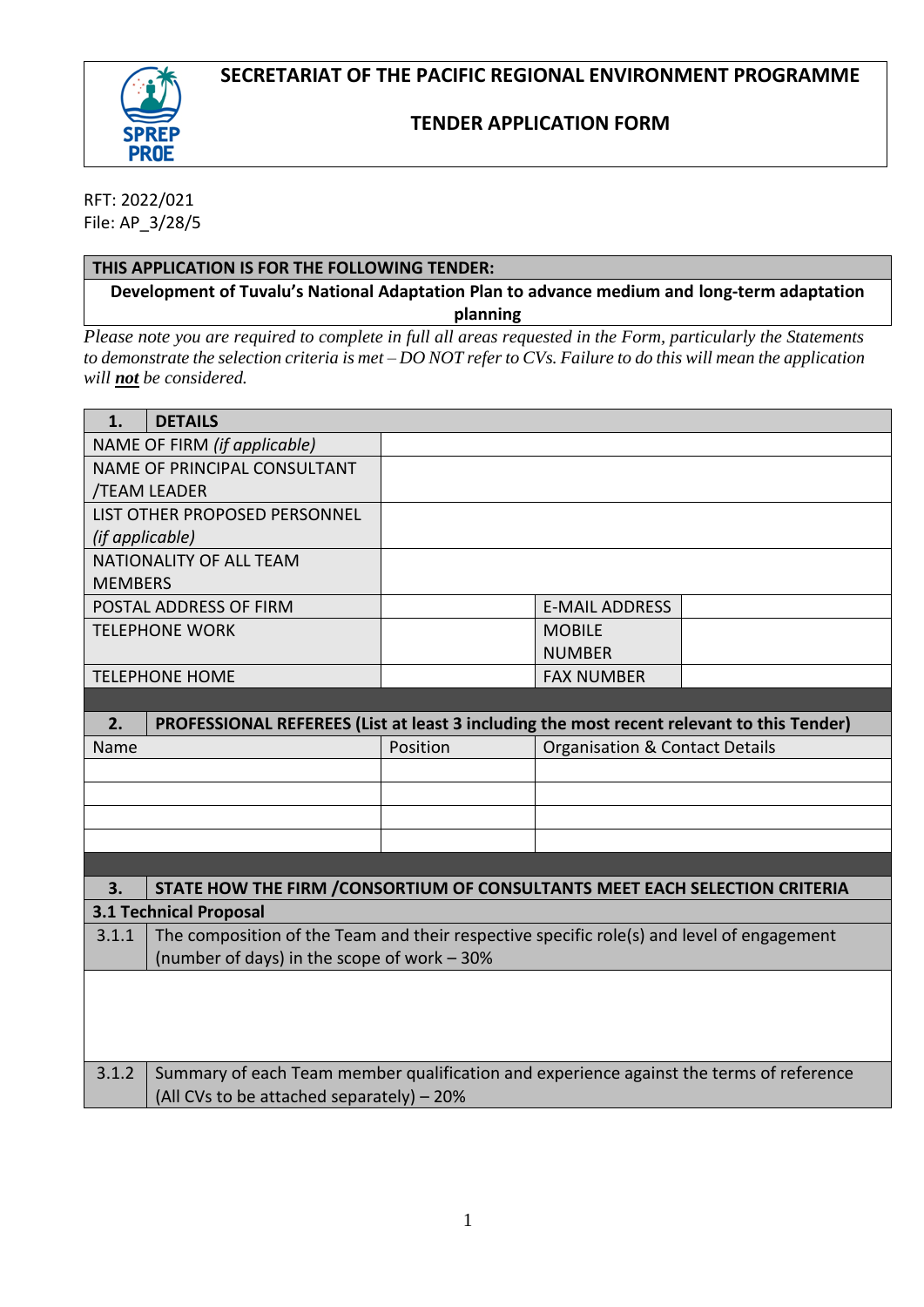

# **TENDER APPLICATION FORM**

RFT: 2022/021 File: AP\_3/28/5

## **THIS APPLICATION IS FOR THE FOLLOWING TENDER:**

**Development of Tuvalu's National Adaptation Plan to advance medium and long-term adaptation planning**

*Please note you are required to complete in full all areas requested in the Form, particularly the Statements to demonstrate the selection criteria is met – DO NOT refer to CVs. Failure to do this will mean the application will not be considered.*

| 1.                                  | <b>DETAILS</b>                                                                            |          |                                           |  |  |  |
|-------------------------------------|-------------------------------------------------------------------------------------------|----------|-------------------------------------------|--|--|--|
| NAME OF FIRM (if applicable)        |                                                                                           |          |                                           |  |  |  |
| <b>NAME OF PRINCIPAL CONSULTANT</b> |                                                                                           |          |                                           |  |  |  |
| /TEAM LEADER                        |                                                                                           |          |                                           |  |  |  |
|                                     | LIST OTHER PROPOSED PERSONNEL                                                             |          |                                           |  |  |  |
| (if applicable)                     |                                                                                           |          |                                           |  |  |  |
|                                     | NATIONALITY OF ALL TEAM                                                                   |          |                                           |  |  |  |
| <b>MEMBERS</b>                      |                                                                                           |          |                                           |  |  |  |
|                                     | POSTAL ADDRESS OF FIRM                                                                    |          | <b>E-MAIL ADDRESS</b>                     |  |  |  |
|                                     | <b>TELEPHONE WORK</b>                                                                     |          | <b>MOBILE</b>                             |  |  |  |
|                                     |                                                                                           |          | <b>NUMBER</b>                             |  |  |  |
| <b>TELEPHONE HOME</b>               |                                                                                           |          | <b>FAX NUMBER</b>                         |  |  |  |
|                                     |                                                                                           |          |                                           |  |  |  |
| 2.                                  | PROFESSIONAL REFEREES (List at least 3 including the most recent relevant to this Tender) |          |                                           |  |  |  |
| Name                                |                                                                                           | Position | <b>Organisation &amp; Contact Details</b> |  |  |  |
|                                     |                                                                                           |          |                                           |  |  |  |
|                                     |                                                                                           |          |                                           |  |  |  |
|                                     |                                                                                           |          |                                           |  |  |  |
|                                     |                                                                                           |          |                                           |  |  |  |
|                                     |                                                                                           |          |                                           |  |  |  |
| 3.                                  | STATE HOW THE FIRM / CONSORTIUM OF CONSULTANTS MEET EACH SELECTION CRITERIA               |          |                                           |  |  |  |
| <b>3.1 Technical Proposal</b>       |                                                                                           |          |                                           |  |  |  |
| 3.1.1                               | The composition of the Team and their respective specific role(s) and level of engagement |          |                                           |  |  |  |
|                                     | (number of days) in the scope of work - 30%                                               |          |                                           |  |  |  |
|                                     |                                                                                           |          |                                           |  |  |  |
|                                     |                                                                                           |          |                                           |  |  |  |
|                                     |                                                                                           |          |                                           |  |  |  |
|                                     |                                                                                           |          |                                           |  |  |  |
| 3.1.2                               | Summary of each Team member qualification and experience against the terms of reference   |          |                                           |  |  |  |
|                                     | (All CVs to be attached separately) - 20%                                                 |          |                                           |  |  |  |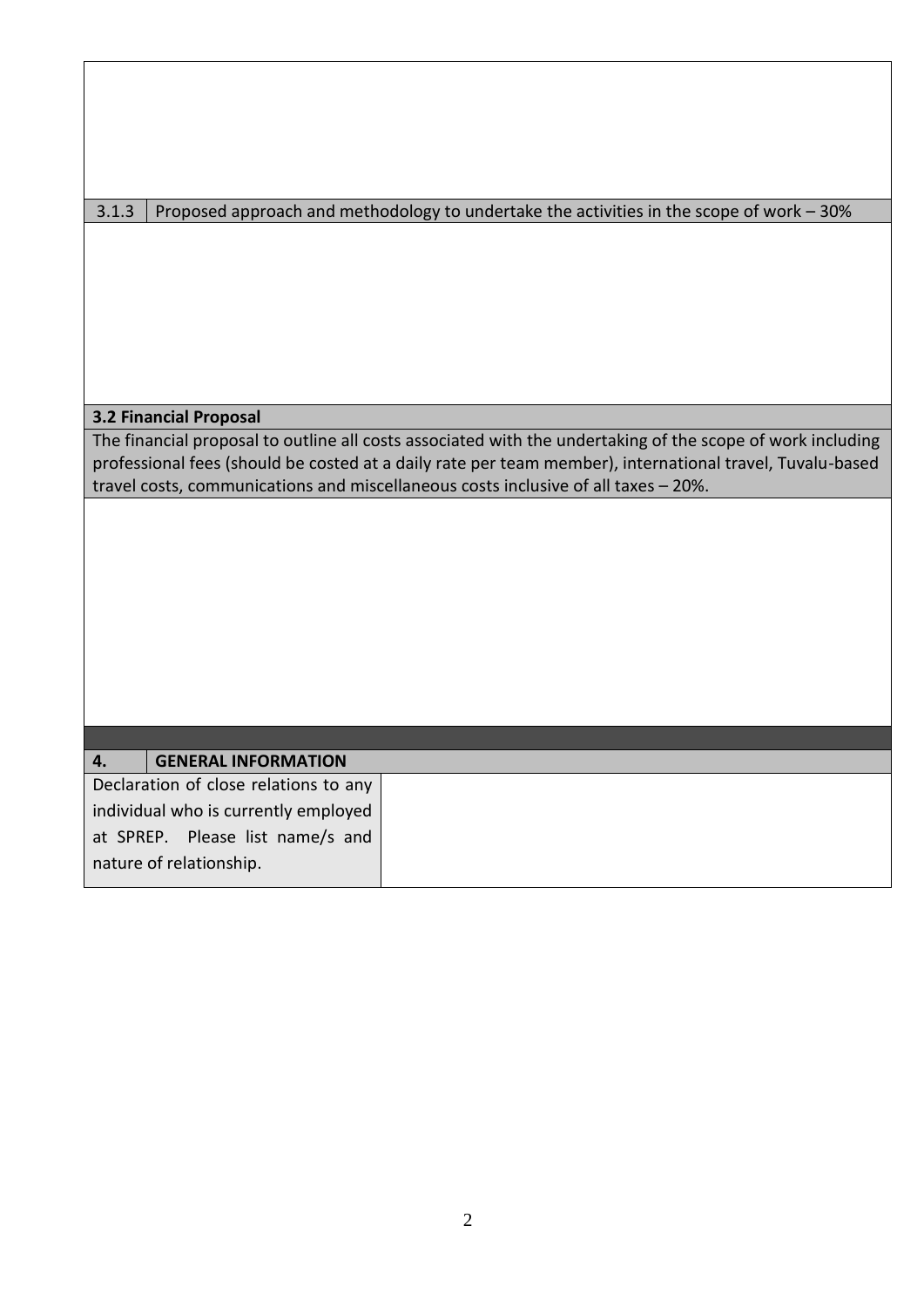| 3.1.3   Proposed approach and methodology to undertake the activities in the scope of work – 30% |
|--------------------------------------------------------------------------------------------------|
|                                                                                                  |

## **3.2 Financial Proposal**

The financial proposal to outline all costs associated with the undertaking of the scope of work including professional fees (should be costed at a daily rate per team member), international travel, Tuvalu-based travel costs, communications and miscellaneous costs inclusive of all taxes – 20%.

# **4. GENERAL INFORMATION** Declaration of close relations to any individual who is currently employed at SPREP. Please list name/s and nature of relationship.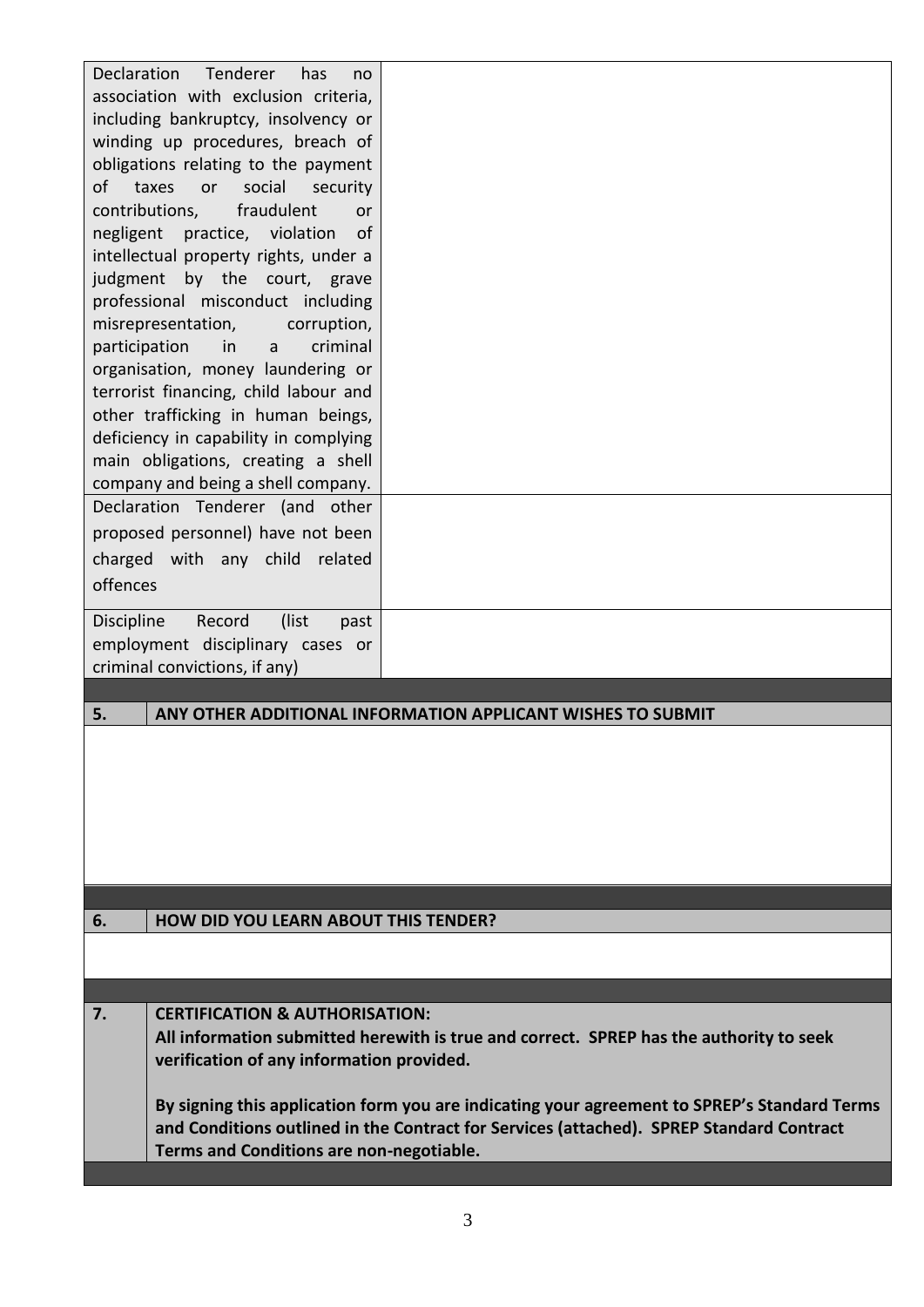| charged with any child<br>related<br>offences<br>(list<br>Discipline<br>Record<br>past<br>employment disciplinary cases or<br>criminal convictions, if any)<br>ANY OTHER ADDITIONAL INFORMATION APPLICANT WISHES TO SUBMIT<br>5.<br><b>HOW DID YOU LEARN ABOUT THIS TENDER?</b><br>6.<br><b>CERTIFICATION &amp; AUTHORISATION:</b><br>7.<br>All information submitted herewith is true and correct. SPREP has the authority to seek<br>verification of any information provided.<br>By signing this application form you are indicating your agreement to SPREP's Standard Terms<br>and Conditions outlined in the Contract for Services (attached). SPREP Standard Contract<br>Terms and Conditions are non-negotiable. | Declaration<br>Tenderer<br>has<br>no<br>association with exclusion criteria,<br>including bankruptcy, insolvency or<br>winding up procedures, breach of<br>obligations relating to the payment<br>social<br>of<br>taxes<br>or<br>security<br>contributions,<br>fraudulent<br>or<br>practice, violation<br>negligent<br>of<br>intellectual property rights, under a<br>by the court, grave<br>judgment<br>professional misconduct including<br>misrepresentation,<br>corruption,<br>criminal<br>participation<br>in<br>a<br>organisation, money laundering or<br>terrorist financing, child labour and<br>other trafficking in human beings,<br>deficiency in capability in complying<br>main obligations, creating a shell<br>company and being a shell company.<br>Declaration Tenderer (and other<br>proposed personnel) have not been |  |
|--------------------------------------------------------------------------------------------------------------------------------------------------------------------------------------------------------------------------------------------------------------------------------------------------------------------------------------------------------------------------------------------------------------------------------------------------------------------------------------------------------------------------------------------------------------------------------------------------------------------------------------------------------------------------------------------------------------------------|------------------------------------------------------------------------------------------------------------------------------------------------------------------------------------------------------------------------------------------------------------------------------------------------------------------------------------------------------------------------------------------------------------------------------------------------------------------------------------------------------------------------------------------------------------------------------------------------------------------------------------------------------------------------------------------------------------------------------------------------------------------------------------------------------------------------------------------|--|
|                                                                                                                                                                                                                                                                                                                                                                                                                                                                                                                                                                                                                                                                                                                          |                                                                                                                                                                                                                                                                                                                                                                                                                                                                                                                                                                                                                                                                                                                                                                                                                                          |  |
|                                                                                                                                                                                                                                                                                                                                                                                                                                                                                                                                                                                                                                                                                                                          |                                                                                                                                                                                                                                                                                                                                                                                                                                                                                                                                                                                                                                                                                                                                                                                                                                          |  |
|                                                                                                                                                                                                                                                                                                                                                                                                                                                                                                                                                                                                                                                                                                                          |                                                                                                                                                                                                                                                                                                                                                                                                                                                                                                                                                                                                                                                                                                                                                                                                                                          |  |
|                                                                                                                                                                                                                                                                                                                                                                                                                                                                                                                                                                                                                                                                                                                          |                                                                                                                                                                                                                                                                                                                                                                                                                                                                                                                                                                                                                                                                                                                                                                                                                                          |  |
|                                                                                                                                                                                                                                                                                                                                                                                                                                                                                                                                                                                                                                                                                                                          |                                                                                                                                                                                                                                                                                                                                                                                                                                                                                                                                                                                                                                                                                                                                                                                                                                          |  |
|                                                                                                                                                                                                                                                                                                                                                                                                                                                                                                                                                                                                                                                                                                                          |                                                                                                                                                                                                                                                                                                                                                                                                                                                                                                                                                                                                                                                                                                                                                                                                                                          |  |
|                                                                                                                                                                                                                                                                                                                                                                                                                                                                                                                                                                                                                                                                                                                          |                                                                                                                                                                                                                                                                                                                                                                                                                                                                                                                                                                                                                                                                                                                                                                                                                                          |  |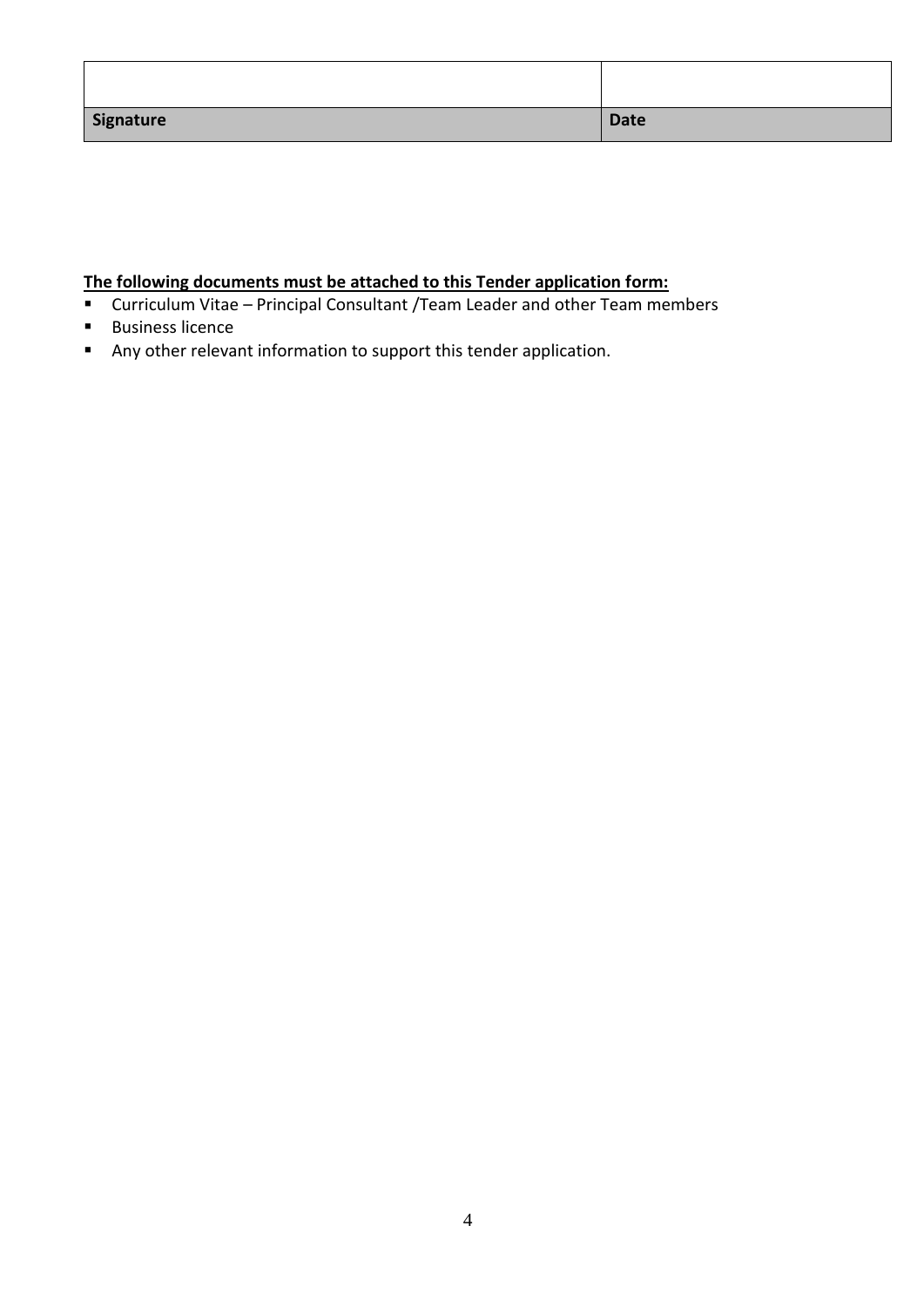| Signature | <b>Date</b> |
|-----------|-------------|

# **The following documents must be attached to this Tender application form:**

- Curriculum Vitae Principal Consultant / Team Leader and other Team members
- Business licence
- Any other relevant information to support this tender application.